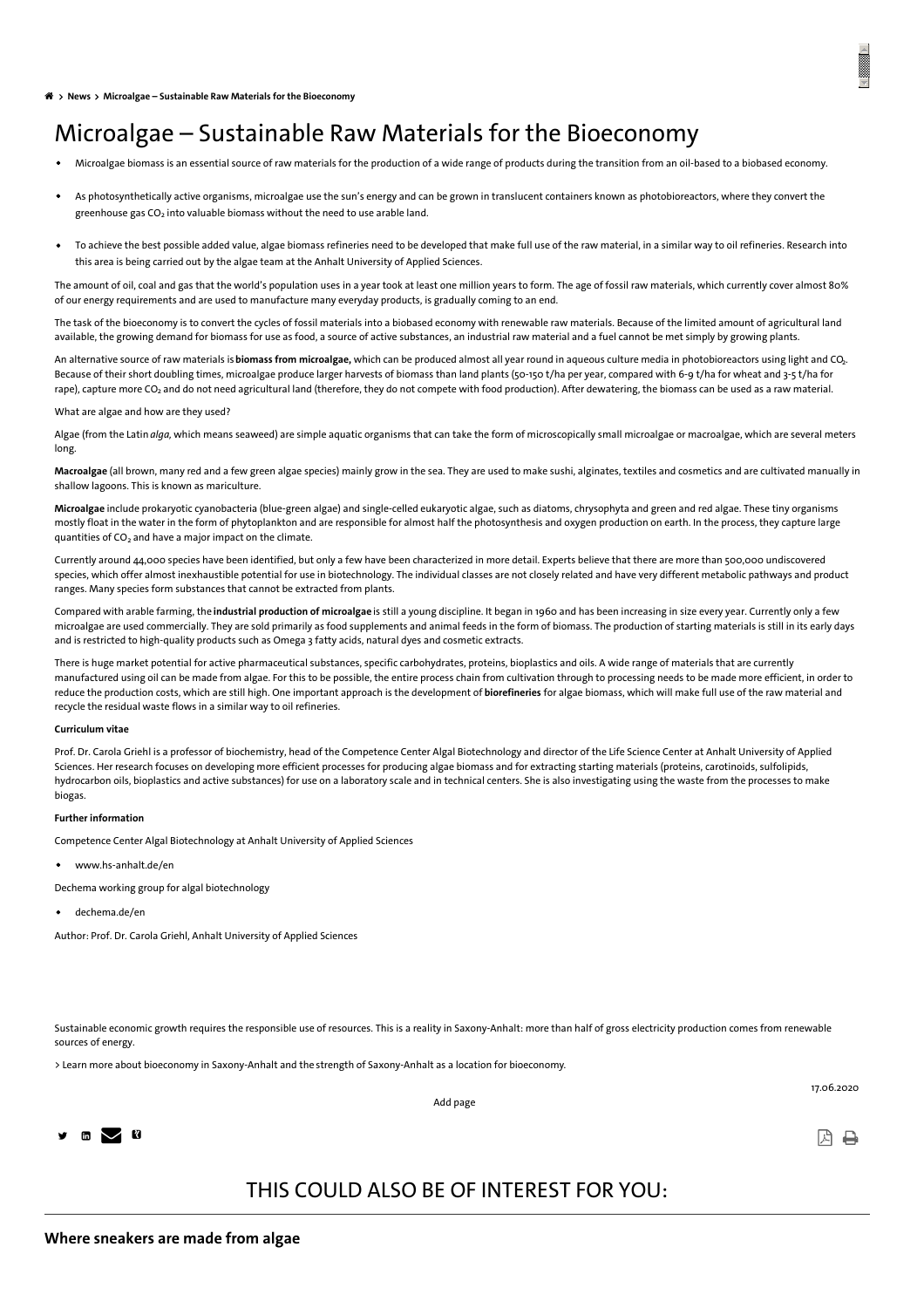<span id="page-0-0"></span>**News Microalgae – Sustainable Raw Materials for the [Bioeconomy](#page-0-0)**

# Microalgae – Sustainable Raw Materials for the Bioeconomy

- Microalgae biomass is an essential source of raw materials for the production of a wide range of products during the transition from an oil-based to a biobased economy.
- As photosynthetically active organisms, microalgae use the sun's energy and can be grown in translucent containers known as photobioreactors, where they convert the greenhouse gas CO $_2$  into valuable biomass without the need to use arable land.
- To achieve the best possible added value, algae biomass refineries need to be developed that make full use of the raw material, in a similar way to oil refineries. Research into this area is being carried out by the algae team at the Anhalt University of Applied Sciences.

The amount of oil, coal and gas that the world's population uses in a year took at least one million years to form. The age of fossil raw materials, which currently cover almost 80% of our energy requirements and are used to manufacture many everyday products, is gradually coming to an end.

The task of the bioeconomy is to convert the cycles of fossil materials into a biobased economy with renewable raw materials. Because of the limited amount of agricultural land available, the growing demand for biomass for use as food, a source of active substances, an industrial raw material and a fuel cannot be met simply by growing plants.

An alternative source of raw materials is **biomass from microalgae,** which can be produced almost all year round in aqueous culture media in photobioreactors using light and CO<u>.</u> Because of their short doubling times, microalgae produce larger harvests of biomass than land plants (50-150 t/ha per year, compared with 6-9 t/ha for wheat and 3-5 t/ha for rape), capture more CO $_2$  and do not need agricultural land (therefore, they do not compete with food production). After dewatering, the biomass can be used as a raw material.

What are algae and how are they used?

Algae (from the Latin *alga,* which means seaweed) are simple aquatic organisms that can take the form of microscopically small microalgae or macroalgae, which are several meters long.

**Macroalgae** (all brown, many red and a few green algae species) mainly grow in the sea. They are used to make sushi, alginates, textiles and cosmetics and are cultivated manually in shallow lagoons. This is known as mariculture.

**Microalgae** include prokaryotic cyanobacteria (blue-green algae) and single-celled eukaryotic algae, such as diatoms, chrysophyta and green and red algae. These tiny organisms mostly float in the water in the form of phytoplankton and are responsible for almost half the photosynthesis and oxygen production on earth. In the process, they capture large quantities of  $CO<sub>2</sub>$  and have a major impact on the climate.

Currently around 44,000 species have been identified, but only a few have been characterized in more detail. Experts believe that there are more than 500,000 undiscovered species, which offer almost inexhaustible potential for use in biotechnology. The individual classes are not closely related and have very different metabolic pathways and product ranges. Many species form substances that cannot be extracted from plants.

Compared with arable farming, the **industrial production of microalgae** is still a young discipline. It began in 1960 and has been increasing in size every year. Currently only a few microalgae are used commercially. They are sold primarily as food supplements and animal feeds in the form of biomass. The production of starting materials is still in its early days and is restricted to high-quality products such as Omega 3 fatty acids, natural dyes and cosmetic extracts.

There is huge market potential for active pharmaceutical substances, specific carbohydrates, proteins, bioplastics and oils. A wide range of materials that are currently manufactured using oil can be made from algae. For this to be possible, the entire process chain from cultivation through to processing needs to be made more efficient, in order to reduce the production costs, which are still high. One important approach is the development of **biorefineries** for algae biomass, which will make full use of the raw material and recycle the residual waste flows in a similar way to oil refineries.

#### **Curriculum vitae**

Prof. Dr. Carola Griehl is a professor of biochemistry, head of the Competence Center Algal Biotechnology and director of the Life Science Center at Anhalt University of Applied Sciences. Her research focuses on developing more efficient processes for producing algae biomass and for extracting starting materials (proteins, carotinoids, sulfolipids, hydrocarbon oils, bioplastics and active substances) for use on a laboratory scale and in technical centers. She is also investigating using the waste from the processes to make biogas.

#### **Further information**

Competence Center Algal Biotechnology at Anhalt University of Applied Sciences

[www.hs-anhalt.de](https://www.hs-anhalt.de/hochschule-anhalt/angewandte-biowissenschaften-und-prozesstechnik/forschung/forschungsgruppen/kompetenzzentrum-algenbiotechnologie/algenbiotechnologie-in-koethen.html)/en

Dechema working group for algal biotechnology

[dechema.de](https://dechema.de/Gremien+und+Netzwerke/Biotechnologie/Gremien/Algenbiotechnologie.html)/en

Author: Prof. Dr. Carola Griehl, Anhalt University of Applied Sciences

Sustainable economic growth requires the responsible use of resources. This is a reality in Saxony-Anhalt: more than half of gross electricity production comes from renewable sources of energy.

Add [page](https://www.invest-in-saxony-anhalt.com/#)

> Learn more about bioeconomy in Saxony-Anhalt and the strength of [Saxony-Anhalt](https://www.invest-in-saxony-anhalt.com/bioeconomy#c44079) as a location for bioeconomy.



17.06.2020

ଯ⊢ଯ

## THIS COULD ALSO BE OF INTEREST FOR YOU: